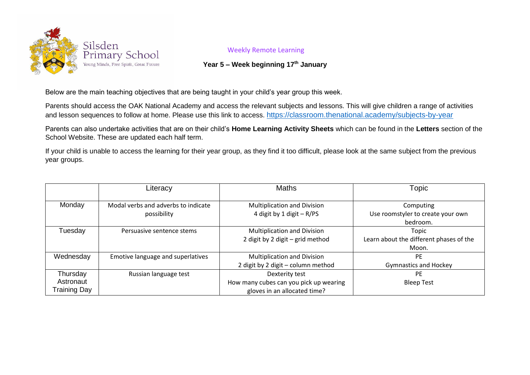

## Weekly Remote Learning

## **Year 5 – Week beginning 17th January**

Below are the main teaching objectives that are being taught in your child's year group this week.

Parents should access the OAK National Academy and access the relevant subjects and lessons. This will give children a range of activities and lesson sequences to follow at home. Please use this link to access. <https://classroom.thenational.academy/subjects-by-year>

Parents can also undertake activities that are on their child's **Home Learning Activity Sheets** which can be found in the **Letters** section of the School Website. These are updated each half term.

If your child is unable to access the learning for their year group, as they find it too difficult, please look at the same subject from the previous year groups.

|                                              | Literacy                                           | <b>Maths</b>                                                                             | Topic                                                      |
|----------------------------------------------|----------------------------------------------------|------------------------------------------------------------------------------------------|------------------------------------------------------------|
| Monday                                       | Modal verbs and adverbs to indicate<br>possibility | <b>Multiplication and Division</b><br>4 digit by 1 digit - R/PS                          | Computing<br>Use roomstyler to create your own<br>bedroom. |
| Tuesday                                      | Persuasive sentence stems                          | <b>Multiplication and Division</b><br>2 digit by 2 digit - grid method                   | Topic<br>Learn about the different phases of the<br>Moon.  |
| Wednesday                                    | Emotive language and superlatives                  | <b>Multiplication and Division</b><br>2 digit by 2 digit - column method                 | PF<br><b>Gymnastics and Hockey</b>                         |
| Thursday<br>Astronaut<br><b>Training Day</b> | Russian language test                              | Dexterity test<br>How many cubes can you pick up wearing<br>gloves in an allocated time? | PF<br><b>Bleep Test</b>                                    |